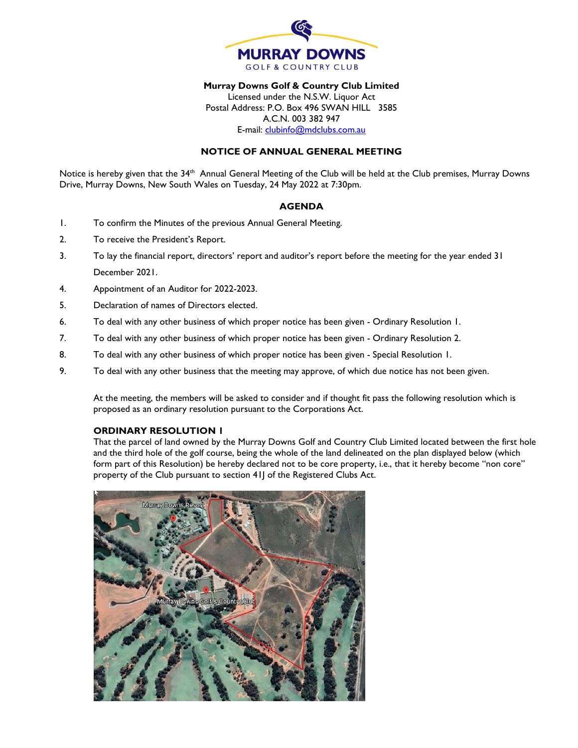

# **Murray Downs Golf & Country Club Limited**

Licensed under the N.S.W. Liquor Act Postal Address: P.O. Box 496 SWAN HILL 3585 A.C.N. 003 382 947 E-mail: [clubinfo@mdclubs.com.au](mailto:clubinfo@mdclubs.com.au)

#### **NOTICE OF ANNUAL GENERAL MEETING**

Notice is hereby given that the 34<sup>th</sup> Annual General Meeting of the Club will be held at the Club premises, Murray Downs Drive, Murray Downs, New South Wales on Tuesday, 24 May 2022 at 7:30pm.

#### **AGENDA**

- 1. To confirm the Minutes of the previous Annual General Meeting.
- 2. To receive the President's Report.
- 3. To lay the financial report, directors' report and auditor's report before the meeting for the year ended 31 December 2021.
- 4. Appointment of an Auditor for 2022-2023.
- 5. Declaration of names of Directors elected.
- 6. To deal with any other business of which proper notice has been given Ordinary Resolution 1.
- 7. To deal with any other business of which proper notice has been given Ordinary Resolution 2.
- 8. To deal with any other business of which proper notice has been given Special Resolution 1.
- 9. To deal with any other business that the meeting may approve, of which due notice has not been given.

At the meeting, the members will be asked to consider and if thought fit pass the following resolution which is proposed as an ordinary resolution pursuant to the Corporations Act.

# **ORDINARY RESOLUTION 1**

That the parcel of land owned by the Murray Downs Golf and Country Club Limited located between the first hole and the third hole of the golf course, being the whole of the land delineated on the plan displayed below (which form part of this Resolution) be hereby declared not to be core property, i.e., that it hereby become "non core" property of the Club pursuant to section 411 of the Registered Clubs Act.

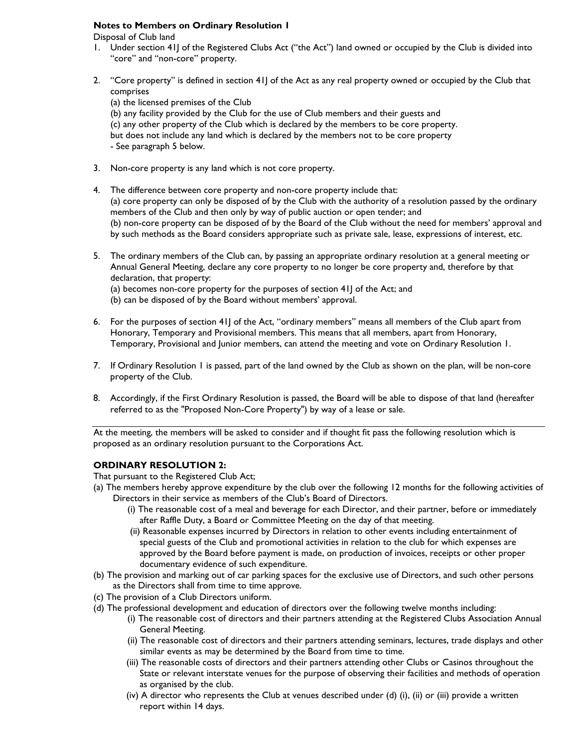# **Notes to Members on Ordinary Resolution 1**

Disposal of Club land

- 1. Under section 41J of the Registered Clubs Act ("the Act") land owned or occupied by the Club is divided into "core" and "non-core" property.
- 2. "Core property" is defined in section 41J of the Act as any real property owned or occupied by the Club that comprises

(a) the licensed premises of the Club

(b) any facility provided by the Club for the use of Club members and their guests and (c) any other property of the Club which is declared by the members to be core property. but does not include any land which is declared by the members not to be core property

- See paragraph 5 below.

- 3. Non-core property is any land which is not core property.
- 4. The difference between core property and non-core property include that: (a) core property can only be disposed of by the Club with the authority of a resolution passed by the ordinary members of the Club and then only by way of public auction or open tender; and (b) non-core property can be disposed of by the Board of the Club without the need for members' approval and by such methods as the Board considers appropriate such as private sale, lease, expressions of interest, etc.
- 5. The ordinary members of the Club can, by passing an appropriate ordinary resolution at a general meeting or Annual General Meeting, declare any core property to no longer be core property and, therefore by that declaration, that property:
	- (a) becomes non-core property for the purposes of section 41J of the Act; and
	- (b) can be disposed of by the Board without members' approval.
- 6. For the purposes of section 41J of the Act, "ordinary members" means all members of the Club apart from Honorary, Temporary and Provisional members. This means that all members, apart from Honorary, Temporary, Provisional and Junior members, can attend the meeting and vote on Ordinary Resolution 1.
- 7. If Ordinary Resolution 1 is passed, part of the land owned by the Club as shown on the plan, will be non-core property of the Club.
- 8. Accordingly, if the First Ordinary Resolution is passed, the Board will be able to dispose of that land (hereafter referred to as the "Proposed Non-Core Property") by way of a lease or sale.

At the meeting, the members will be asked to consider and if thought fit pass the following resolution which is proposed as an ordinary resolution pursuant to the Corporations Act.

# **ORDINARY RESOLUTION 2:**

That pursuant to the Registered Club Act;

- (a) The members hereby approve expenditure by the club over the following 12 months for the following activities of Directors in their service as members of the Club's Board of Directors.
	- (i) The reasonable cost of a meal and beverage for each Director, and their partner, before or immediately after Raffle Duty, a Board or Committee Meeting on the day of that meeting.
	- (ii) Reasonable expenses incurred by Directors in relation to other events including entertainment of special guests of the Club and promotional activities in relation to the club for which expenses are approved by the Board before payment is made, on production of invoices, receipts or other proper documentary evidence of such expenditure.
- (b) The provision and marking out of car parking spaces for the exclusive use of Directors, and such other persons as the Directors shall from time to time approve.
- (c) The provision of a Club Directors uniform.
- (d) The professional development and education of directors over the following twelve months including:
	- (i) The reasonable cost of directors and their partners attending at the Registered Clubs Association Annual General Meeting.
	- (ii) The reasonable cost of directors and their partners attending seminars, lectures, trade displays and other similar events as may be determined by the Board from time to time.
	- (iii) The reasonable costs of directors and their partners attending other Clubs or Casinos throughout the State or relevant interstate venues for the purpose of observing their facilities and methods of operation as organised by the club.
	- (iv) A director who represents the Club at venues described under (d) (i), (ii) or (iii) provide a written report within 14 days.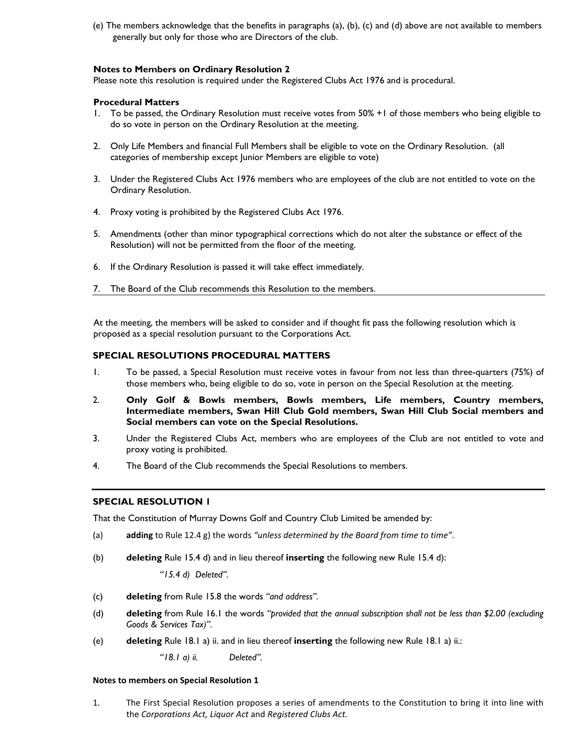(e) The members acknowledge that the benefits in paragraphs (a), (b), (c) and (d) above are not available to members generally but only for those who are Directors of the club.

#### **Notes to Members on Ordinary Resolution 2**

Please note this resolution is required under the Registered Clubs Act 1976 and is procedural.

### **Procedural Matters**

- 1. To be passed, the Ordinary Resolution must receive votes from 50% +1 of those members who being eligible to do so vote in person on the Ordinary Resolution at the meeting.
- 2. Only Life Members and financial Full Members shall be eligible to vote on the Ordinary Resolution. (all categories of membership except Junior Members are eligible to vote)
- 3. Under the Registered Clubs Act 1976 members who are employees of the club are not entitled to vote on the Ordinary Resolution.
- 4. Proxy voting is prohibited by the Registered Clubs Act 1976.
- 5. Amendments (other than minor typographical corrections which do not alter the substance or effect of the Resolution) will not be permitted from the floor of the meeting.
- 6. If the Ordinary Resolution is passed it will take effect immediately.
- 7. The Board of the Club recommends this Resolution to the members.

At the meeting, the members will be asked to consider and if thought fit pass the following resolution which is proposed as a special resolution pursuant to the Corporations Act.

# **SPECIAL RESOLUTIONS PROCEDURAL MATTERS**

- 1. To be passed, a Special Resolution must receive votes in favour from not less than three-quarters (75%) of those members who, being eligible to do so, vote in person on the Special Resolution at the meeting.
- 2. **Only Golf & Bowls members, Bowls members, Life members, Country members, Intermediate members, Swan Hill Club Gold members, Swan Hill Club Social members and Social members can vote on the Special Resolutions.**
- 3. Under the Registered Clubs Act, members who are employees of the Club are not entitled to vote and proxy voting is prohibited.
- 4. The Board of the Club recommends the Special Resolutions to members.

# **SPECIAL RESOLUTION 1**

That the Constitution of Murray Downs Golf and Country Club Limited be amended by:

- (a) **adding** to Rule 12.4 g) the words *"unless determined by the Board from time to time"*.
- (b) **deleting** Rule 15.4 d) and in lieu thereof **inserting** the following new Rule 15.4 d):

*"15.4 d) Deleted".*

- (c) **deleting** from Rule 15.8 the words *"and address".*
- (d) **deleting** from Rule 16.1 the words *"provided that the annual subscription shall not be less than \$2.00 (excluding Goods & Services Tax)".*
- <span id="page-2-0"></span>(e) **deleting** Rule 18.1 a) ii. and in lieu thereof **inserting** the following new Rule 18.1 a) ii.:

*"18.1 a) ii. Deleted".*

#### **Notes to members on Special Resolution 1**

1. The First Special Resolution proposes a series of amendments to the Constitution to bring it into line with the *Corporations Act, Liquor Act* and *Registered Clubs Act.*